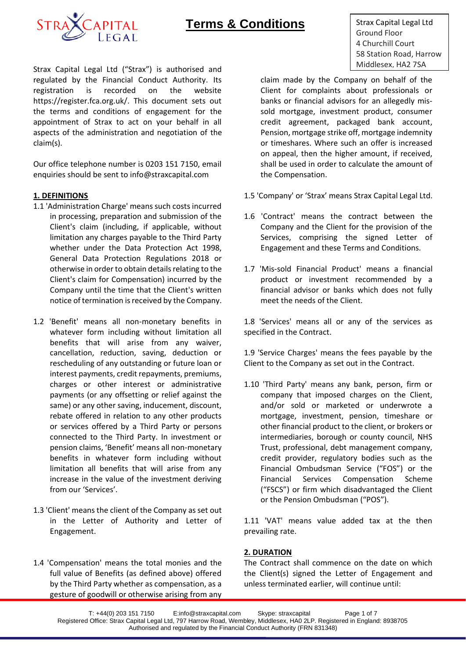

Strax Capital Legal Ltd ("Strax") is authorised and **Strax Capital Legal Ltd ("Strax")** is authorised and regulated by the Financial Conduct Authority. Its registration is recorded on the website https://register.fca.org.uk/. This document sets out the terms and conditions of engagement for the appointment of Strax to act on your behalf in all aspects of the administration and negotiation of the claim(s).

Our office telephone number is 0203 151 7150, email enquiries should be sent to info@straxcapital.com

# **1. DEFINITIONS**

- 1.1 'Administration Charge' means such costs incurred in processing, preparation and submission of the Client's claim (including, if applicable, without limitation any charges payable to the Third Party whether under the Data Protection Act 1998, General Data Protection Regulations 2018 or otherwise in order to obtain details relating to the Client's claim for Compensation) incurred by the Company until the time that the Client's written notice of termination is received by the Company.
- 1.2 'Benefit' means all non-monetary benefits in whatever form including without limitation all benefits that will arise from any waiver, cancellation, reduction, saving, deduction or rescheduling of any outstanding or future loan or interest payments, credit repayments, premiums, charges or other interest or administrative payments (or any offsetting or relief against the same) or any other saving, inducement, discount, rebate offered in relation to any other products or services offered by a Third Party or persons connected to the Third Party. In investment or pension claims, 'Benefit' means all non-monetary benefits in whatever form including without limitation all benefits that will arise from any increase in the value of the investment deriving from our 'Services'.
- 1.3 'Client' means the client of the Company as set out in the Letter of Authority and Letter of Engagement.
- 1.4 'Compensation' means the total monies and the full value of Benefits (as defined above) offered by the Third Party whether as compensation, as a gesture of goodwill or otherwise arising from any

Strax Capital Legal Ltd Ground Floor 4 Churchill Court 58 Station Road, Harrow

claim made by the Company on behalf of the Client for complaints about professionals or banks or financial advisors for an allegedly missold mortgage, investment product, consumer credit agreement, packaged bank account, Pension, mortgage strike off, mortgage indemnity or timeshares. Where such an offer is increased on appeal, then the higher amount, if received, shall be used in order to calculate the amount of the Compensation.

- 1.5 'Company' or 'Strax' means Strax Capital Legal Ltd.
- 1.6 'Contract' means the contract between the Company and the Client for the provision of the Services, comprising the signed Letter of Engagement and these Terms and Conditions.
- 1.7 'Mis-sold Financial Product' means a financial product or investment recommended by a financial advisor or banks which does not fully meet the needs of the Client.

1.8 'Services' means all or any of the services as specified in the Contract.

1.9 'Service Charges' means the fees payable by the Client to the Company as set out in the Contract.

1.10 'Third Party' means any bank, person, firm or company that imposed charges on the Client, and/or sold or marketed or underwrote a mortgage, investment, pension, timeshare or other financial product to the client, or brokers or intermediaries, borough or county council, NHS Trust, professional, debt management company, credit provider, regulatory bodies such as the Financial Ombudsman Service ("FOS") or the Financial Services Compensation Scheme ("FSCS") or firm which disadvantaged the Client or the Pension Ombudsman ("POS").

1.11 'VAT' means value added tax at the then prevailing rate.

# **2. DURATION**

The Contract shall commence on the date on which the Client(s) signed the Letter of Engagement and unless terminated earlier, will continue until: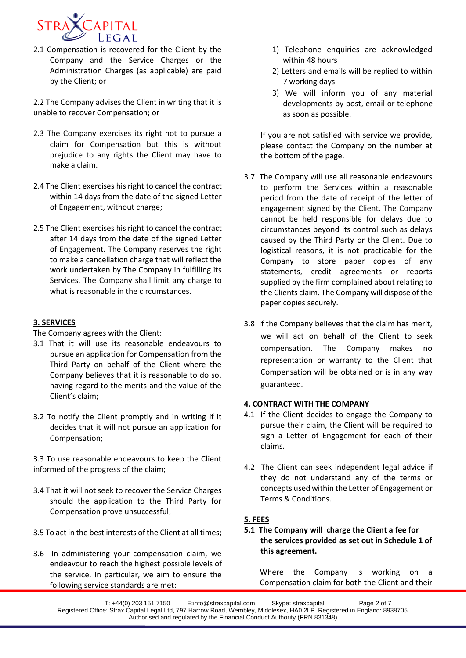

2.1 Compensation is recovered for the Client by the Company and the Service Charges or the Administration Charges (as applicable) are paid by the Client; or

2.2 The Company advises the Client in writing that it is unable to recover Compensation; or

- 2.3 The Company exercises its right not to pursue a claim for Compensation but this is without prejudice to any rights the Client may have to make a claim.
- 2.4 The Client exercises his right to cancel the contract within 14 days from the date of the signed Letter of Engagement, without charge;
- 2.5 The Client exercises his right to cancel the contract after 14 days from the date of the signed Letter of Engagement. The Company reserves the right to make a cancellation charge that will reflect the work undertaken by The Company in fulfilling its Services. The Company shall limit any charge to what is reasonable in the circumstances.

# **3. SERVICES**

The Company agrees with the Client:

- 3.1 That it will use its reasonable endeavours to pursue an application for Compensation from the Third Party on behalf of the Client where the Company believes that it is reasonable to do so, having regard to the merits and the value of the Client's claim;
- 3.2 To notify the Client promptly and in writing if it decides that it will not pursue an application for Compensation;

3.3 To use reasonable endeavours to keep the Client informed of the progress of the claim;

- 3.4 That it will not seek to recover the Service Charges should the application to the Third Party for Compensation prove unsuccessful;
- 3.5 To act in the best interests of the Client at all times;
- 3.6 In administering your compensation claim, we endeavour to reach the highest possible levels of the service. In particular, we aim to ensure the following service standards are met:
- 1) Telephone enquiries are acknowledged within 48 hours
- 2) Letters and emails will be replied to within 7 working days
- 3) We will inform you of any material developments by post, email or telephone as soon as possible.

If you are not satisfied with service we provide, please contact the Company on the number at the bottom of the page.

- 3.7 The Company will use all reasonable endeavours to perform the Services within a reasonable period from the date of receipt of the letter of engagement signed by the Client. The Company cannot be held responsible for delays due to circumstances beyond its control such as delays caused by the Third Party or the Client. Due to logistical reasons, it is not practicable for the Company to store paper copies of any statements, credit agreements or reports supplied by the firm complained about relating to the Clients claim. The Company will dispose of the paper copies securely.
- 3.8 If the Company believes that the claim has merit, we will act on behalf of the Client to seek compensation. The Company makes no representation or warranty to the Client that Compensation will be obtained or is in any way guaranteed.

# **4. CONTRACT WITH THE COMPANY**

- 4.1 If the Client decides to engage the Company to pursue their claim, the Client will be required to sign a Letter of Engagement for each of their claims.
- 4.2 The Client can seek independent legal advice if they do not understand any of the terms or concepts used within the Letter of Engagement or Terms & Conditions.

# **5. FEES**

**5.1 The Company will charge the Client a fee for the services provided as set out in Schedule 1 of this agreement.** 

Where the Company is working on a Compensation claim for both the Client and their

T: +44(0) 203 151 7150 E:info@straxcapital.com Skype: straxcapital Page 2 of 7 Registered Office: Strax Capital Legal Ltd, 797 Harrow Road, Wembley, Middlesex, HA0 2LP. Registered in England: 8938705 Authorised and regulated by the Financial Conduct Authority (FRN 831348)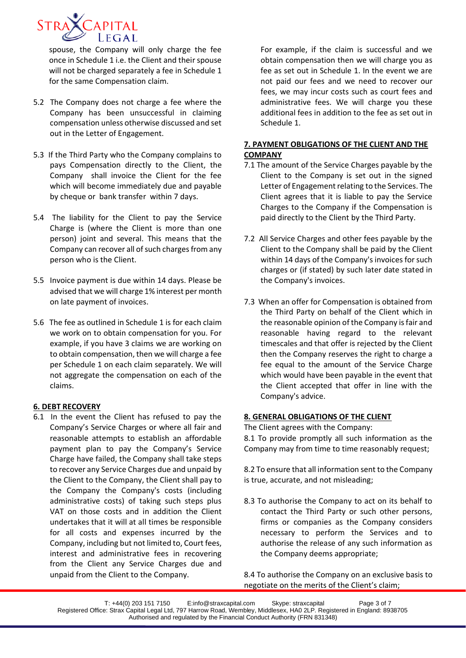

spouse, the Company will only charge the fee once in Schedule 1 i.e. the Client and their spouse will not be charged separately a fee in Schedule 1 for the same Compensation claim.

- 5.2 The Company does not charge a fee where the Company has been unsuccessful in claiming compensation unless otherwise discussed and set out in the Letter of Engagement.
- 5.3 If the Third Party who the Company complains to pays Compensation directly to the Client, the Company shall invoice the Client for the fee which will become immediately due and payable by cheque or bank transfer within 7 days.
- 5.4 The liability for the Client to pay the Service Charge is (where the Client is more than one person) joint and several. This means that the Company can recover all of such charges from any person who is the Client.
- 5.5 Invoice payment is due within 14 days. Please be advised that we will charge 1% interest per month on late payment of invoices.
- 5.6 The fee as outlined in Schedule 1 is for each claim we work on to obtain compensation for you. For example, if you have 3 claims we are working on to obtain compensation, then we will charge a fee per Schedule 1 on each claim separately. We will not aggregate the compensation on each of the claims.

# **6. DEBT RECOVERY**

6.1 In the event the Client has refused to pay the Company's Service Charges or where all fair and reasonable attempts to establish an affordable payment plan to pay the Company's Service Charge have failed, the Company shall take steps to recover any Service Charges due and unpaid by the Client to the Company, the Client shall pay to the Company the Company's costs (including administrative costs) of taking such steps plus VAT on those costs and in addition the Client undertakes that it will at all times be responsible for all costs and expenses incurred by the Company, including but not limited to, Court fees, interest and administrative fees in recovering from the Client any Service Charges due and unpaid from the Client to the Company.

For example, if the claim is successful and we obtain compensation then we will charge you as fee as set out in Schedule 1. In the event we are not paid our fees and we need to recover our fees, we may incur costs such as court fees and administrative fees. We will charge you these additional fees in addition to the fee as set out in Schedule 1.

# **7. PAYMENT OBLIGATIONS OF THE CLIENT AND THE COMPANY**

- 7.1 The amount of the Service Charges payable by the Client to the Company is set out in the signed Letter of Engagement relating to the Services. The Client agrees that it is liable to pay the Service Charges to the Company if the Compensation is paid directly to the Client by the Third Party.
- 7.2 All Service Charges and other fees payable by the Client to the Company shall be paid by the Client within 14 days of the Company's invoices for such charges or (if stated) by such later date stated in the Company's invoices.
- 7.3 When an offer for Compensation is obtained from the Third Party on behalf of the Client which in the reasonable opinion of the Company is fair and reasonable having regard to the relevant timescales and that offer is rejected by the Client then the Company reserves the right to charge a fee equal to the amount of the Service Charge which would have been payable in the event that the Client accepted that offer in line with the Company's advice.

#### **8. GENERAL OBLIGATIONS OF THE CLIENT**

The Client agrees with the Company:

8.1 To provide promptly all such information as the Company may from time to time reasonably request;

8.2 To ensure that all information sent to the Company is true, accurate, and not misleading;

8.3 To authorise the Company to act on its behalf to contact the Third Party or such other persons, firms or companies as the Company considers necessary to perform the Services and to authorise the release of any such information as the Company deems appropriate;

8.4 To authorise the Company on an exclusive basis to negotiate on the merits of the Client's claim;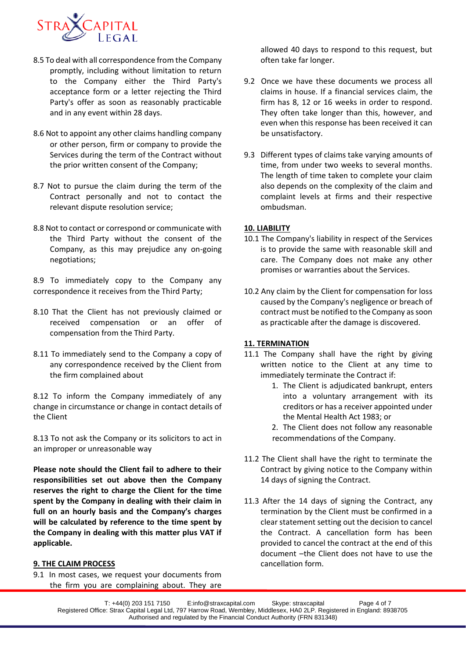

- 8.5 To deal with all correspondence from the Company promptly, including without limitation to return to the Company either the Third Party's acceptance form or a letter rejecting the Third Party's offer as soon as reasonably practicable and in any event within 28 days.
- 8.6 Not to appoint any other claims handling company or other person, firm or company to provide the Services during the term of the Contract without the prior written consent of the Company;
- 8.7 Not to pursue the claim during the term of the Contract personally and not to contact the relevant dispute resolution service;
- 8.8 Not to contact or correspond or communicate with the Third Party without the consent of the Company, as this may prejudice any on-going negotiations;

8.9 To immediately copy to the Company any correspondence it receives from the Third Party;

- 8.10 That the Client has not previously claimed or received compensation or an offer of compensation from the Third Party.
- 8.11 To immediately send to the Company a copy of any correspondence received by the Client from the firm complained about

8.12 To inform the Company immediately of any change in circumstance or change in contact details of the Client

8.13 To not ask the Company or its solicitors to act in an improper or unreasonable way

**Please note should the Client fail to adhere to their responsibilities set out above then the Company reserves the right to charge the Client for the time spent by the Company in dealing with their claim in full on an hourly basis and the Company's charges will be calculated by reference to the time spent by the Company in dealing with this matter plus VAT if applicable.**

#### **9. THE CLAIM PROCESS**

9.1 In most cases, we request your documents from the firm you are complaining about. They are

allowed 40 days to respond to this request, but often take far longer.

- 9.2 Once we have these documents we process all claims in house. If a financial services claim, the firm has 8, 12 or 16 weeks in order to respond. They often take longer than this, however, and even when this response has been received it can be unsatisfactory.
- 9.3 Different types of claims take varying amounts of time, from under two weeks to several months. The length of time taken to complete your claim also depends on the complexity of the claim and complaint levels at firms and their respective ombudsman.

#### **10. LIABILITY**

- 10.1 The Company's liability in respect of the Services is to provide the same with reasonable skill and care. The Company does not make any other promises or warranties about the Services.
- 10.2 Any claim by the Client for compensation for loss caused by the Company's negligence or breach of contract must be notified to the Company as soon as practicable after the damage is discovered.

#### **11. TERMINATION**

- 11.1 The Company shall have the right by giving written notice to the Client at any time to immediately terminate the Contract if:
	- 1. The Client is adjudicated bankrupt, enters into a voluntary arrangement with its creditors or has a receiver appointed under the Mental Health Act 1983; or
	- 2. The Client does not follow any reasonable recommendations of the Company.
- 11.2 The Client shall have the right to terminate the Contract by giving notice to the Company within 14 days of signing the Contract.
- 11.3 After the 14 days of signing the Contract, any termination by the Client must be confirmed in a clear statement setting out the decision to cancel the Contract. A cancellation form has been provided to cancel the contract at the end of this document –the Client does not have to use the cancellation form.

T: +44(0) 203 151 7150 E:info@straxcapital.com Skype: straxcapital Page 4 of 7 Registered Office: Strax Capital Legal Ltd, 797 Harrow Road, Wembley, Middlesex, HA0 2LP. Registered in England: 8938705 Authorised and regulated by the Financial Conduct Authority (FRN 831348)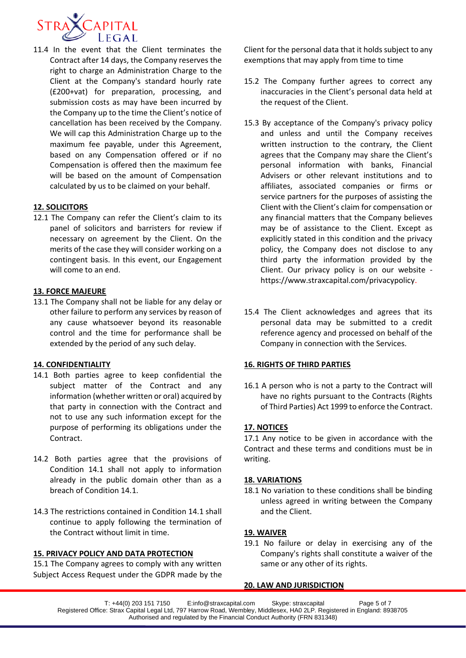

11.4 In the event that the Client terminates the Contract after 14 days, the Company reserves the right to charge an Administration Charge to the Client at the Company's standard hourly rate (£200+vat) for preparation, processing, and submission costs as may have been incurred by the Company up to the time the Client's notice of cancellation has been received by the Company. We will cap this Administration Charge up to the maximum fee payable, under this Agreement, based on any Compensation offered or if no Compensation is offered then the maximum fee will be based on the amount of Compensation calculated by us to be claimed on your behalf.

# **12. SOLICITORS**

12.1 The Company can refer the Client's claim to its panel of solicitors and barristers for review if necessary on agreement by the Client. On the merits of the case they will consider working on a contingent basis. In this event, our Engagement will come to an end.

# **13. FORCE MAJEURE**

13.1 The Company shall not be liable for any delay or other failure to perform any services by reason of any cause whatsoever beyond its reasonable control and the time for performance shall be extended by the period of any such delay.

# **14. CONFIDENTIALITY**

- 14.1 Both parties agree to keep confidential the subject matter of the Contract and any information (whether written or oral) acquired by that party in connection with the Contract and not to use any such information except for the purpose of performing its obligations under the Contract.
- 14.2 Both parties agree that the provisions of Condition 14.1 shall not apply to information already in the public domain other than as a breach of Condition 14.1.
- 14.3 The restrictions contained in Condition 14.1 shall continue to apply following the termination of the Contract without limit in time.

# **15. PRIVACY POLICY AND DATA PROTECTION**

15.1 The Company agrees to comply with any written Subject Access Request under the GDPR made by the Client for the personal data that it holds subject to any exemptions that may apply from time to time

- 15.2 The Company further agrees to correct any inaccuracies in the Client's personal data held at the request of the Client.
- 15.3 By acceptance of the Company's privacy policy and unless and until the Company receives written instruction to the contrary, the Client agrees that the Company may share the Client's personal information with banks, Financial Advisers or other relevant institutions and to affiliates, associated companies or firms or service partners for the purposes of assisting the Client with the Client's claim for compensation or any financial matters that the Company believes may be of assistance to the Client. Except as explicitly stated in this condition and the privacy policy, the Company does not disclose to any third party the information provided by the Client. Our privacy policy is on our website https://www.straxcapital.com/privacypolicy.
- 15.4 The Client acknowledges and agrees that its personal data may be submitted to a credit reference agency and processed on behalf of the Company in connection with the Services.

#### **16. RIGHTS OF THIRD PARTIES**

16.1 A person who is not a party to the Contract will have no rights pursuant to the Contracts (Rights of Third Parties) Act 1999 to enforce the Contract.

# **17. NOTICES**

17.1 Any notice to be given in accordance with the Contract and these terms and conditions must be in writing.

#### **18. VARIATIONS**

18.1 No variation to these conditions shall be binding unless agreed in writing between the Company and the Client.

#### **19. WAIVER**

19.1 No failure or delay in exercising any of the Company's rights shall constitute a waiver of the same or any other of its rights.

#### **20. LAW AND JURISDICTION**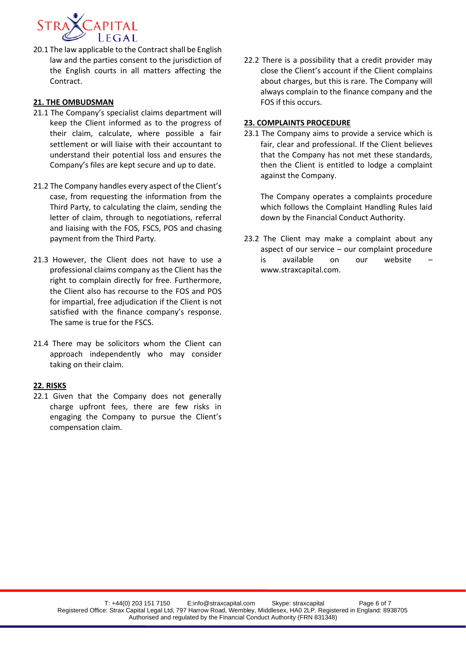

20.1 The law applicable to the Contract shall be English law and the parties consent to the jurisdiction of the English courts in all matters affecting the Contract.

### **21. THE OMBUDSMAN**

- 21.1 The Company's specialist claims department will keep the Client informed as to the progress of their claim, calculate, where possible a fair settlement or will liaise with their accountant to understand their potential loss and ensures the Company's files are kept secure and up to date.
- 21.2 The Company handles every aspect of the Client's case, from requesting the information from the Third Party, to calculating the claim, sending the letter of claim, through to negotiations, referral and liaising with the FOS, FSCS, POS and chasing payment from the Third Party.
- 21.3 However, the Client does not have to use a professional claims company as the Client has the right to complain directly for free. Furthermore, the Client also has recourse to the FOS and POS for impartial, free adjudication if the Client is not satisfied with the finance company's response. The same is true for the FSCS.
- 21.4 There may be solicitors whom the Client can approach independently who may consider taking on their claim.

#### **22. RISKS**

22.1 Given that the Company does not generally charge upfront fees, there are few risks in engaging the Company to pursue the Client's compensation claim.

22.2 There is a possibility that a credit provider may close the Client's account if the Client complains about charges, but this is rare. The Company will always complain to the finance company and the FOS if this occurs.

#### **23. COMPLAINTS PROCEDURE**

23.1 The Company aims to provide a service which is fair, clear and professional. If the Client believes that the Company has not met these standards, then the Client is entitled to lodge a complaint against the Company.

The Company operates a complaints procedure which follows the Complaint Handling Rules laid down by the Financial Conduct Authority.

23.2 The Client may make a complaint about any aspect of our service – our complaint procedure is available on our website www.straxcapital.com.